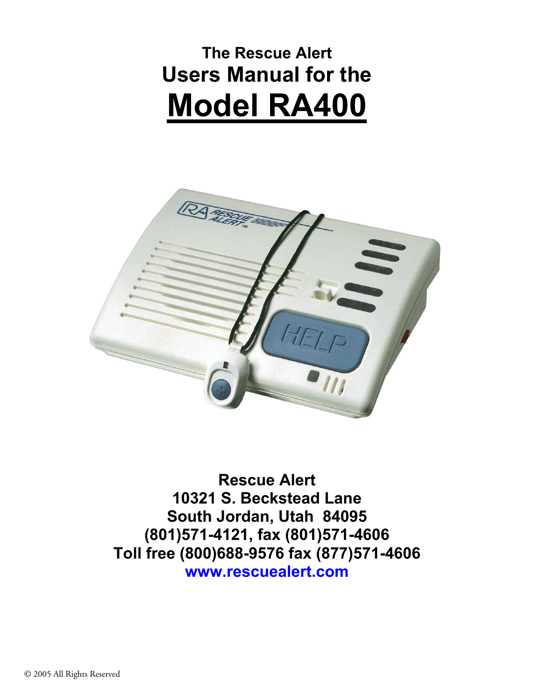# **The Rescue Alert Users Manual for the Model RA400**



**Rescue Alert 10321 S. Beckstead Lane South Jordan, Utah 84095 (801)571-4121, fax (801)571-4606 Toll free (800)688-9576 fax (877)571-4606 www.rescuealert.com**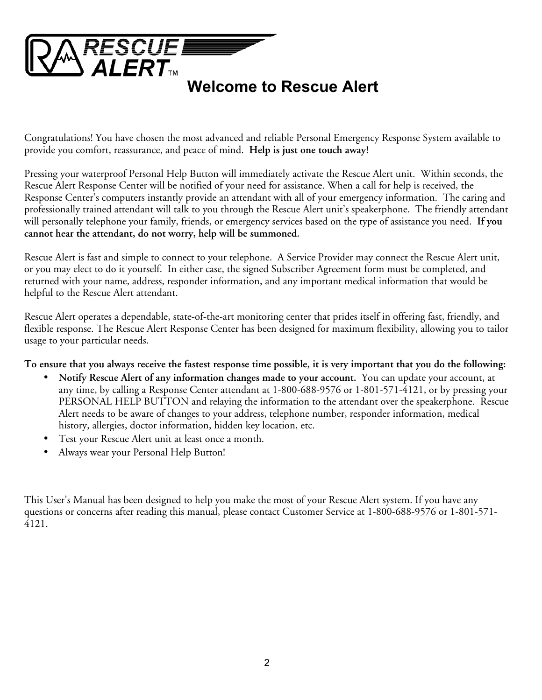

Congratulations! You have chosen the most advanced and reliable Personal Emergency Response System available to provide you comfort, reassurance, and peace of mind. **Help is just one touch away!** 

Pressing your waterproof Personal Help Button will immediately activate the Rescue Alert unit. Within seconds, the Rescue Alert Response Center will be notified of your need for assistance. When a call for help is received, the Response Center's computers instantly provide an attendant with all of your emergency information. The caring and professionally trained attendant will talk to you through the Rescue Alert unit's speakerphone. The friendly attendant will personally telephone your family, friends, or emergency services based on the type of assistance you need. **If you cannot hear the attendant, do not worry, help will be summoned.**

Rescue Alert is fast and simple to connect to your telephone. A Service Provider may connect the Rescue Alert unit, or you may elect to do it yourself. In either case, the signed Subscriber Agreement form must be completed, and returned with your name, address, responder information, and any important medical information that would be helpful to the Rescue Alert attendant.

Rescue Alert operates a dependable, state-of-the-art monitoring center that prides itself in offering fast, friendly, and flexible response. The Rescue Alert Response Center has been designed for maximum flexibility, allowing you to tailor usage to your particular needs.

**To ensure that you always receive the fastest response time possible, it is very important that you do the following:** 

- **Notify Rescue Alert of any information changes made to your account.** You can update your account, at any time, by calling a Response Center attendant at 1-800-688-9576 or 1-801-571-4121, or by pressing your PERSONAL HELP BUTTON and relaying the information to the attendant over the speakerphone. Rescue Alert needs to be aware of changes to your address, telephone number, responder information, medical history, allergies, doctor information, hidden key location, etc.
- Test your Rescue Alert unit at least once a month.
- Always wear your Personal Help Button!

This User's Manual has been designed to help you make the most of your Rescue Alert system. If you have any questions or concerns after reading this manual, please contact Customer Service at 1-800-688-9576 or 1-801-571- 4121.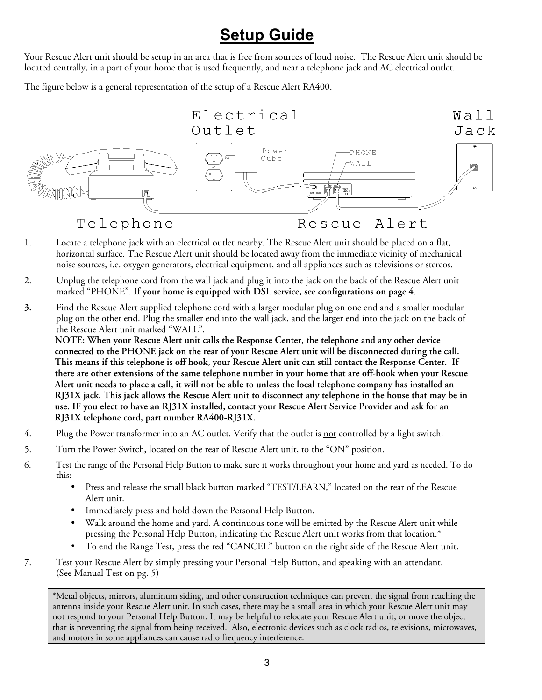## **Setup Guide**

Your Rescue Alert unit should be setup in an area that is free from sources of loud noise. The Rescue Alert unit should be located centrally, in a part of your home that is used frequently, and near a telephone jack and AC electrical outlet.

The figure below is a general representation of the setup of a Rescue Alert RA400.



Telephone

Alert Rescue

- 1. Locate a telephone jack with an electrical outlet nearby. The Rescue Alert unit should be placed on a flat, horizontal surface. The Rescue Alert unit should be located away from the immediate vicinity of mechanical noise sources, i.e. oxygen generators, electrical equipment, and all appliances such as televisions or stereos.
- 2. Unplug the telephone cord from the wall jack and plug it into the jack on the back of the Rescue Alert unit marked "PHONE". **If your home is equipped with DSL service, see configurations on page 4**.
- **3.** Find the Rescue Alert supplied telephone cord with a larger modular plug on one end and a smaller modular plug on the other end. Plug the smaller end into the wall jack, and the larger end into the jack on the back of the Rescue Alert unit marked "WALL".

**NOTE: When your Rescue Alert unit calls the Response Center, the telephone and any other device connected to the PHONE jack on the rear of your Rescue Alert unit will be disconnected during the call. This means if this telephone is off hook, your Rescue Alert unit can still contact the Response Center. If there are other extensions of the same telephone number in your home that are off-hook when your Rescue Alert unit needs to place a call, it will not be able to unless the local telephone company has installed an RJ31X jack. This jack allows the Rescue Alert unit to disconnect any telephone in the house that may be in use. IF you elect to have an RJ31X installed, contact your Rescue Alert Service Provider and ask for an RJ31X telephone cord, part number RA400-RJ31X.** 

- 4. Plug the Power transformer into an AC outlet. Verify that the outlet is not controlled by a light switch.
- 5. Turn the Power Switch, located on the rear of Rescue Alert unit, to the "ON" position.
- 6. Test the range of the Personal Help Button to make sure it works throughout your home and yard as needed. To do this:
	- Press and release the small black button marked "TEST/LEARN," located on the rear of the Rescue Alert unit.
	- Immediately press and hold down the Personal Help Button.
	- Walk around the home and yard. A continuous tone will be emitted by the Rescue Alert unit while pressing the Personal Help Button, indicating the Rescue Alert unit works from that location.\*
	- To end the Range Test, press the red "CANCEL" button on the right side of the Rescue Alert unit.
- 7. Test your Rescue Alert by simply pressing your Personal Help Button, and speaking with an attendant. (See Manual Test on pg. 5)

\*Metal objects, mirrors, aluminum siding, and other construction techniques can prevent the signal from reaching the antenna inside your Rescue Alert unit. In such cases, there may be a small area in which your Rescue Alert unit may not respond to your Personal Help Button. It may be helpful to relocate your Rescue Alert unit, or move the object that is preventing the signal from being received. Also, electronic devices such as clock radios, televisions, microwaves, and motors in some appliances can cause radio frequency interference.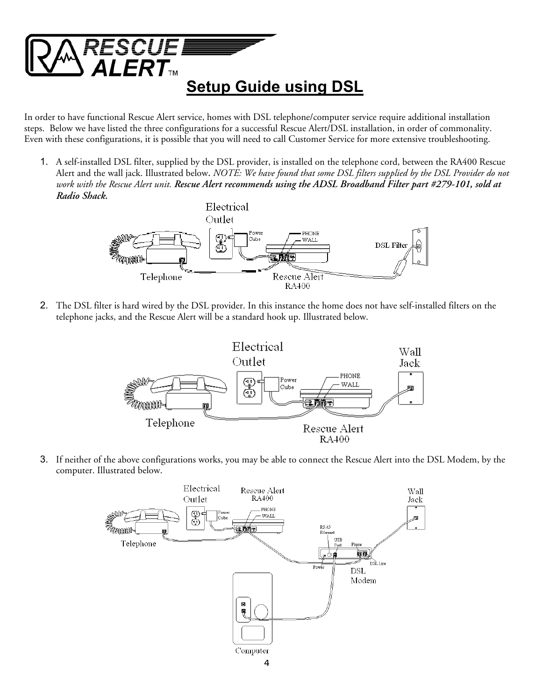

In order to have functional Rescue Alert service, homes with DSL telephone/computer service require additional installation steps. Below we have listed the three configurations for a successful Rescue Alert/DSL installation, in order of commonality. Even with these configurations, it is possible that you will need to call Customer Service for more extensive troubleshooting.

1. A self-installed DSL filter, supplied by the DSL provider, is installed on the telephone cord, between the RA400 Rescue Alert and the wall jack. Illustrated below**.** *NOTE: We have found that some DSL filters supplied by the DSL Provider do not work with the Rescue Alert unit. Rescue Alert recommends using the ADSL Broadband Filter part #279-101, sold at Radio Shack.*



2. The DSL filter is hard wired by the DSL provider. In this instance the home does not have self-installed filters on the telephone jacks, and the Rescue Alert will be a standard hook up. Illustrated below.



3. If neither of the above configurations works, you may be able to connect the Rescue Alert into the DSL Modem, by the computer. Illustrated below.

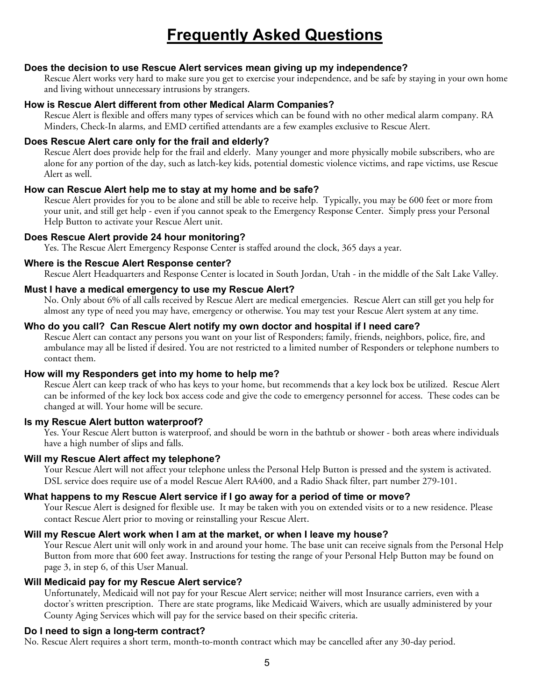## **Frequently Asked Questions**

### **Does the decision to use Rescue Alert services mean giving up my independence?**

Rescue Alert works very hard to make sure you get to exercise your independence, and be safe by staying in your own home and living without unnecessary intrusions by strangers.

### **How is Rescue Alert different from other Medical Alarm Companies?**

Rescue Alert is flexible and offers many types of services which can be found with no other medical alarm company. RA Minders, Check-In alarms, and EMD certified attendants are a few examples exclusive to Rescue Alert.

### **Does Rescue Alert care only for the frail and elderly?**

Rescue Alert does provide help for the frail and elderly. Many younger and more physically mobile subscribers, who are alone for any portion of the day, such as latch-key kids, potential domestic violence victims, and rape victims, use Rescue Alert as well.

### **How can Rescue Alert help me to stay at my home and be safe?**

Rescue Alert provides for you to be alone and still be able to receive help. Typically, you may be 600 feet or more from your unit, and still get help - even if you cannot speak to the Emergency Response Center. Simply press your Personal Help Button to activate your Rescue Alert unit.

### **Does Rescue Alert provide 24 hour monitoring?**

Yes. The Rescue Alert Emergency Response Center is staffed around the clock, 365 days a year.

### **Where is the Rescue Alert Response center?**

Rescue Alert Headquarters and Response Center is located in South Jordan, Utah - in the middle of the Salt Lake Valley.

### **Must I have a medical emergency to use my Rescue Alert?**

No. Only about 6% of all calls received by Rescue Alert are medical emergencies. Rescue Alert can still get you help for almost any type of need you may have, emergency or otherwise. You may test your Rescue Alert system at any time.

### **Who do you call? Can Rescue Alert notify my own doctor and hospital if I need care?**

Rescue Alert can contact any persons you want on your list of Responders; family, friends, neighbors, police, fire, and ambulance may all be listed if desired. You are not restricted to a limited number of Responders or telephone numbers to contact them.

### **How will my Responders get into my home to help me?**

Rescue Alert can keep track of who has keys to your home, but recommends that a key lock box be utilized. Rescue Alert can be informed of the key lock box access code and give the code to emergency personnel for access. These codes can be changed at will. Your home will be secure.

#### **Is my Rescue Alert button waterproof?**

Yes. Your Rescue Alert button is waterproof, and should be worn in the bathtub or shower - both areas where individuals have a high number of slips and falls.

### **Will my Rescue Alert affect my telephone?**

Your Rescue Alert will not affect your telephone unless the Personal Help Button is pressed and the system is activated. DSL service does require use of a model Rescue Alert RA400, and a Radio Shack filter, part number 279-101.

### **What happens to my Rescue Alert service if I go away for a period of time or move?**

Your Rescue Alert is designed for flexible use. It may be taken with you on extended visits or to a new residence. Please contact Rescue Alert prior to moving or reinstalling your Rescue Alert.

#### **Will my Rescue Alert work when I am at the market, or when I leave my house?**

Your Rescue Alert unit will only work in and around your home. The base unit can receive signals from the Personal Help Button from more that 600 feet away. Instructions for testing the range of your Personal Help Button may be found on page 3, in step 6, of this User Manual.

#### **Will Medicaid pay for my Rescue Alert service?**

Unfortunately, Medicaid will not pay for your Rescue Alert service; neither will most Insurance carriers, even with a doctor's written prescription. There are state programs, like Medicaid Waivers, which are usually administered by your County Aging Services which will pay for the service based on their specific criteria.

#### **Do I need to sign a long-term contract?**

No. Rescue Alert requires a short term, month-to-month contract which may be cancelled after any 30-day period.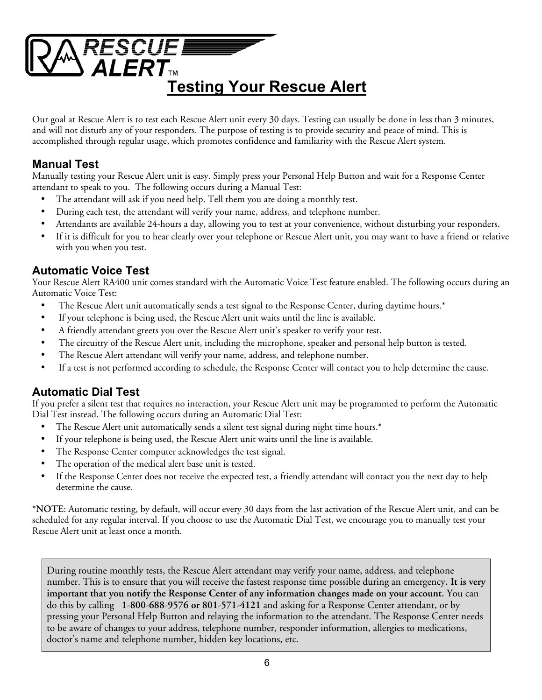

Our goal at Rescue Alert is to test each Rescue Alert unit every 30 days. Testing can usually be done in less than 3 minutes, and will not disturb any of your responders. The purpose of testing is to provide security and peace of mind. This is accomplished through regular usage, which promotes confidence and familiarity with the Rescue Alert system.

## **Manual Test**

Manually testing your Rescue Alert unit is easy. Simply press your Personal Help Button and wait for a Response Center attendant to speak to you. The following occurs during a Manual Test:

- The attendant will ask if you need help. Tell them you are doing a monthly test.
- During each test, the attendant will verify your name, address, and telephone number.
- Attendants are available 24-hours a day, allowing you to test at your convenience, without disturbing your responders.
- If it is difficult for you to hear clearly over your telephone or Rescue Alert unit, you may want to have a friend or relative with you when you test.

## **Automatic Voice Test**

Your Rescue Alert RA400 unit comes standard with the Automatic Voice Test feature enabled. The following occurs during an Automatic Voice Test:

- The Rescue Alert unit automatically sends a test signal to the Response Center, during daytime hours.\*
- If your telephone is being used, the Rescue Alert unit waits until the line is available.
- A friendly attendant greets you over the Rescue Alert unit's speaker to verify your test.
- The circuitry of the Rescue Alert unit, including the microphone, speaker and personal help button is tested.
- The Rescue Alert attendant will verify your name, address, and telephone number.
- If a test is not performed according to schedule, the Response Center will contact you to help determine the cause.

## **Automatic Dial Test**

If you prefer a silent test that requires no interaction, your Rescue Alert unit may be programmed to perform the Automatic Dial Test instead. The following occurs during an Automatic Dial Test:

- The Rescue Alert unit automatically sends a silent test signal during night time hours.\*
- If your telephone is being used, the Rescue Alert unit waits until the line is available.
- The Response Center computer acknowledges the test signal.
- The operation of the medical alert base unit is tested.
- If the Response Center does not receive the expected test, a friendly attendant will contact you the next day to help determine the cause.

\***NOTE**: Automatic testing, by default, will occur every 30 days from the last activation of the Rescue Alert unit, and can be scheduled for any regular interval. If you choose to use the Automatic Dial Test, we encourage you to manually test your Rescue Alert unit at least once a month.

During routine monthly tests, the Rescue Alert attendant may verify your name, address, and telephone number. This is to ensure that you will receive the fastest response time possible during an emergency**. It is very important that you notify the Response Center of any information changes made on your account.** You can do this by calling **1-800-688-9576 or 801-571-4121** and asking for a Response Center attendant, or by pressing your Personal Help Button and relaying the information to the attendant. The Response Center needs to be aware of changes to your address, telephone number, responder information, allergies to medications, doctor's name and telephone number, hidden key locations, etc.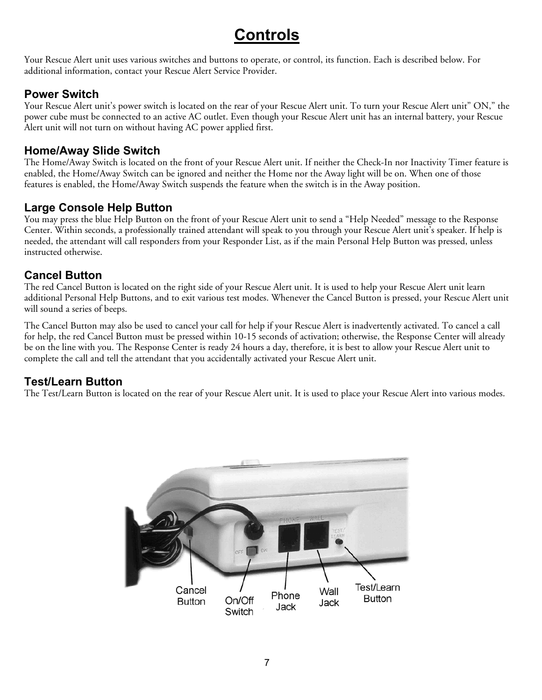## **Controls**

Your Rescue Alert unit uses various switches and buttons to operate, or control, its function. Each is described below. For additional information, contact your Rescue Alert Service Provider.

## **Power Switch**

Your Rescue Alert unit's power switch is located on the rear of your Rescue Alert unit. To turn your Rescue Alert unit" ON," the power cube must be connected to an active AC outlet. Even though your Rescue Alert unit has an internal battery, your Rescue Alert unit will not turn on without having AC power applied first.

### **Home/Away Slide Switch**

The Home/Away Switch is located on the front of your Rescue Alert unit. If neither the Check-In nor Inactivity Timer feature is enabled, the Home/Away Switch can be ignored and neither the Home nor the Away light will be on. When one of those features is enabled, the Home/Away Switch suspends the feature when the switch is in the Away position.

## **Large Console Help Button**

You may press the blue Help Button on the front of your Rescue Alert unit to send a "Help Needed" message to the Response Center. Within seconds, a professionally trained attendant will speak to you through your Rescue Alert unit's speaker. If help is needed, the attendant will call responders from your Responder List, as if the main Personal Help Button was pressed, unless instructed otherwise.

## **Cancel Button**

The red Cancel Button is located on the right side of your Rescue Alert unit. It is used to help your Rescue Alert unit learn additional Personal Help Buttons, and to exit various test modes. Whenever the Cancel Button is pressed, your Rescue Alert unit will sound a series of beeps.

The Cancel Button may also be used to cancel your call for help if your Rescue Alert is inadvertently activated. To cancel a call for help, the red Cancel Button must be pressed within 10-15 seconds of activation; otherwise, the Response Center will already be on the line with you. The Response Center is ready 24 hours a day, therefore, it is best to allow your Rescue Alert unit to complete the call and tell the attendant that you accidentally activated your Rescue Alert unit.

## **Test/Learn Button**

The Test/Learn Button is located on the rear of your Rescue Alert unit. It is used to place your Rescue Alert into various modes.

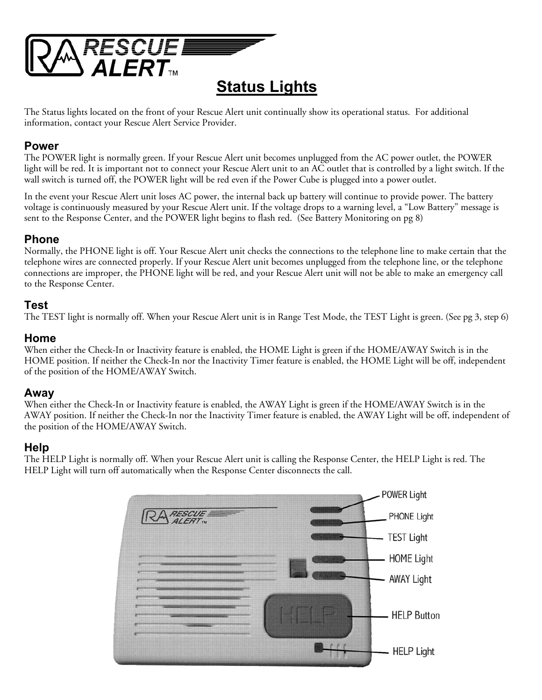

**Status Lights**

The Status lights located on the front of your Rescue Alert unit continually show its operational status. For additional information, contact your Rescue Alert Service Provider.

### **Power**

The POWER light is normally green. If your Rescue Alert unit becomes unplugged from the AC power outlet, the POWER light will be red. It is important not to connect your Rescue Alert unit to an AC outlet that is controlled by a light switch. If the wall switch is turned off, the POWER light will be red even if the Power Cube is plugged into a power outlet.

In the event your Rescue Alert unit loses AC power, the internal back up battery will continue to provide power. The battery voltage is continuously measured by your Rescue Alert unit. If the voltage drops to a warning level, a "Low Battery" message is sent to the Response Center, and the POWER light begins to flash red. (See Battery Monitoring on pg 8)

## **Phone**

Normally, the PHONE light is off. Your Rescue Alert unit checks the connections to the telephone line to make certain that the telephone wires are connected properly. If your Rescue Alert unit becomes unplugged from the telephone line, or the telephone connections are improper, the PHONE light will be red, and your Rescue Alert unit will not be able to make an emergency call to the Response Center.

### **Test**

The TEST light is normally off. When your Rescue Alert unit is in Range Test Mode, the TEST Light is green. (See pg 3, step 6)

### **Home**

When either the Check-In or Inactivity feature is enabled, the HOME Light is green if the HOME/AWAY Switch is in the HOME position. If neither the Check-In nor the Inactivity Timer feature is enabled, the HOME Light will be off, independent of the position of the HOME/AWAY Switch.

### **Away**

When either the Check-In or Inactivity feature is enabled, the AWAY Light is green if the HOME/AWAY Switch is in the AWAY position. If neither the Check-In nor the Inactivity Timer feature is enabled, the AWAY Light will be off, independent of the position of the HOME/AWAY Switch.

### **Help**

The HELP Light is normally off. When your Rescue Alert unit is calling the Response Center, the HELP Light is red. The HELP Light will turn off automatically when the Response Center disconnects the call.

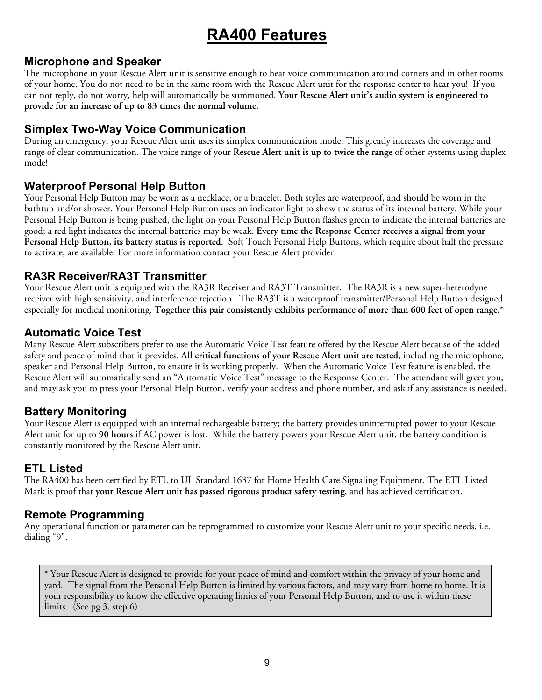## **RA400 Features**

### **Microphone and Speaker**

The microphone in your Rescue Alert unit is sensitive enough to hear voice communication around corners and in other rooms of your home. You do not need to be in the same room with the Rescue Alert unit for the response center to hear you! If you can not reply, do not worry, help will automatically be summoned. **Your Rescue Alert unit's audio system is engineered to provide for an increase of up to 83 times the normal volume.** 

### **Simplex Two-Way Voice Communication**

During an emergency, your Rescue Alert unit uses its simplex communication mode. This greatly increases the coverage and range of clear communication. The voice range of your **Rescue Alert unit is up to twice the range** of other systems using duplex mode!

## **Waterproof Personal Help Button**

Your Personal Help Button may be worn as a necklace, or a bracelet. Both styles are waterproof, and should be worn in the bathtub and/or shower. Your Personal Help Button uses an indicator light to show the status of its internal battery. While your Personal Help Button is being pushed, the light on your Personal Help Button flashes green to indicate the internal batteries are good; a red light indicates the internal batteries may be weak. **Every time the Response Center receives a signal from your Personal Help Button, its battery status is reported.** Soft Touch Personal Help Buttons, which require about half the pressure to activate, are available. For more information contact your Rescue Alert provider.

### **RA3R Receiver/RA3T Transmitter**

Your Rescue Alert unit is equipped with the RA3R Receiver and RA3T Transmitter. The RA3R is a new super-heterodyne receiver with high sensitivity, and interference rejection. The RA3T is a waterproof transmitter/Personal Help Button designed especially for medical monitoring. **Together this pair consistently exhibits performance of more than 600 feet of open range.\*** 

### **Automatic Voice Test**

Many Rescue Alert subscribers prefer to use the Automatic Voice Test feature offered by the Rescue Alert because of the added safety and peace of mind that it provides. **All critical functions of your Rescue Alert unit are tested**, including the microphone, speaker and Personal Help Button, to ensure it is working properly. When the Automatic Voice Test feature is enabled, the Rescue Alert will automatically send an "Automatic Voice Test" message to the Response Center. The attendant will greet you, and may ask you to press your Personal Help Button, verify your address and phone number, and ask if any assistance is needed.

## **Battery Monitoring**

Your Rescue Alert is equipped with an internal rechargeable battery; the battery provides uninterrupted power to your Rescue Alert unit for up to **90 hours** if AC power is lost. While the battery powers your Rescue Alert unit, the battery condition is constantly monitored by the Rescue Alert unit.

### **ETL Listed**

The RA400 has been certified by ETL to UL Standard 1637 for Home Health Care Signaling Equipment. The ETL Listed Mark is proof that **your Rescue Alert unit has passed rigorous product safety testing**, and has achieved certification.

## **Remote Programming**

Any operational function or parameter can be reprogrammed to customize your Rescue Alert unit to your specific needs, i.e. dialing "9".

\* Your Rescue Alert is designed to provide for your peace of mind and comfort within the privacy of your home and yard. The signal from the Personal Help Button is limited by various factors, and may vary from home to home. It is your responsibility to know the effective operating limits of your Personal Help Button, and to use it within these limits. (See pg 3, step 6)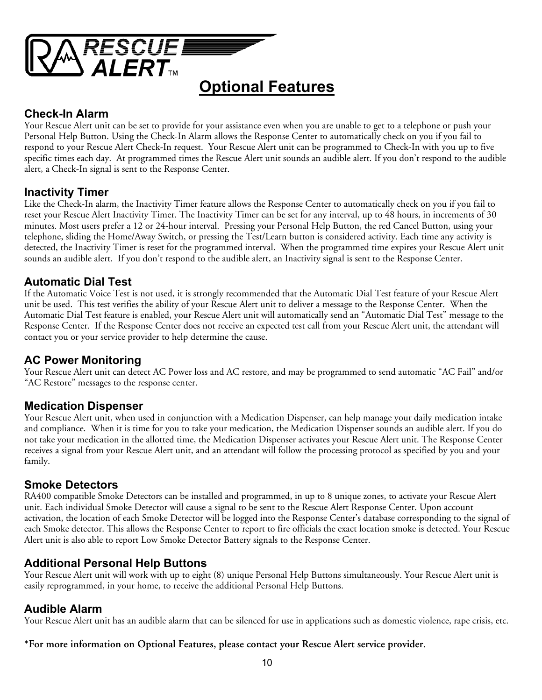

## **Optional Features**

## **Check-In Alarm**

Your Rescue Alert unit can be set to provide for your assistance even when you are unable to get to a telephone or push your Personal Help Button. Using the Check-In Alarm allows the Response Center to automatically check on you if you fail to respond to your Rescue Alert Check-In request. Your Rescue Alert unit can be programmed to Check-In with you up to five specific times each day. At programmed times the Rescue Alert unit sounds an audible alert. If you don't respond to the audible alert, a Check-In signal is sent to the Response Center.

## **Inactivity Timer**

Like the Check-In alarm, the Inactivity Timer feature allows the Response Center to automatically check on you if you fail to reset your Rescue Alert Inactivity Timer. The Inactivity Timer can be set for any interval, up to 48 hours, in increments of 30 minutes. Most users prefer a 12 or 24-hour interval. Pressing your Personal Help Button, the red Cancel Button, using your telephone, sliding the Home/Away Switch, or pressing the Test/Learn button is considered activity. Each time any activity is detected, the Inactivity Timer is reset for the programmed interval. When the programmed time expires your Rescue Alert unit sounds an audible alert. If you don't respond to the audible alert, an Inactivity signal is sent to the Response Center.

## **Automatic Dial Test**

If the Automatic Voice Test is not used, it is strongly recommended that the Automatic Dial Test feature of your Rescue Alert unit be used. This test verifies the ability of your Rescue Alert unit to deliver a message to the Response Center. When the Automatic Dial Test feature is enabled, your Rescue Alert unit will automatically send an "Automatic Dial Test" message to the Response Center. If the Response Center does not receive an expected test call from your Rescue Alert unit, the attendant will contact you or your service provider to help determine the cause.

## **AC Power Monitoring**

Your Rescue Alert unit can detect AC Power loss and AC restore, and may be programmed to send automatic "AC Fail" and/or "AC Restore" messages to the response center.

### **Medication Dispenser**

Your Rescue Alert unit, when used in conjunction with a Medication Dispenser, can help manage your daily medication intake and compliance. When it is time for you to take your medication, the Medication Dispenser sounds an audible alert. If you do not take your medication in the allotted time, the Medication Dispenser activates your Rescue Alert unit. The Response Center receives a signal from your Rescue Alert unit, and an attendant will follow the processing protocol as specified by you and your family.

## **Smoke Detectors**

RA400 compatible Smoke Detectors can be installed and programmed, in up to 8 unique zones, to activate your Rescue Alert unit. Each individual Smoke Detector will cause a signal to be sent to the Rescue Alert Response Center. Upon account activation, the location of each Smoke Detector will be logged into the Response Center's database corresponding to the signal of each Smoke detector. This allows the Response Center to report to fire officials the exact location smoke is detected. Your Rescue Alert unit is also able to report Low Smoke Detector Battery signals to the Response Center.

## **Additional Personal Help Buttons**

Your Rescue Alert unit will work with up to eight (8) unique Personal Help Buttons simultaneously. Your Rescue Alert unit is easily reprogrammed, in your home, to receive the additional Personal Help Buttons.

## **Audible Alarm**

Your Rescue Alert unit has an audible alarm that can be silenced for use in applications such as domestic violence, rape crisis, etc.

### **\*For more information on Optional Features, please contact your Rescue Alert service provider.**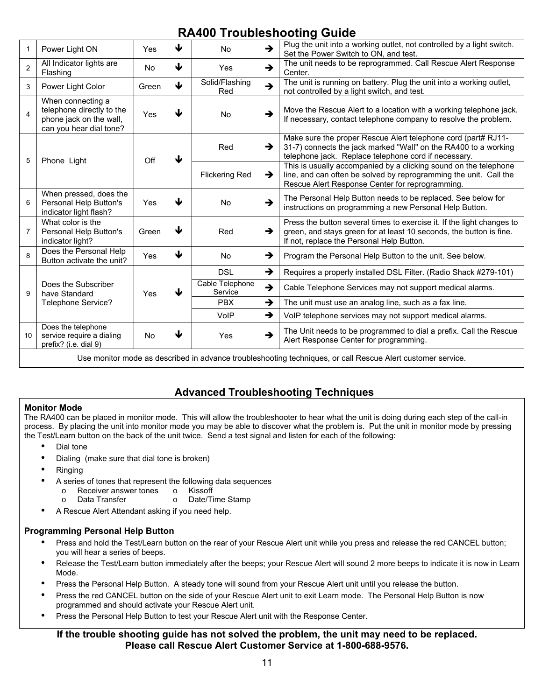## **RA400 Troubleshooting Guide**

| 1              | Power Light ON                                                                                       | Yes       | ↓ | <b>No</b>                  | $\rightarrow$ | Plug the unit into a working outlet, not controlled by a light switch.<br>Set the Power Switch to ON, and test.                                                                            |
|----------------|------------------------------------------------------------------------------------------------------|-----------|---|----------------------------|---------------|--------------------------------------------------------------------------------------------------------------------------------------------------------------------------------------------|
| $\overline{2}$ | All Indicator lights are<br>Flashing                                                                 | <b>No</b> | ↓ | Yes                        | $\rightarrow$ | The unit needs to be reprogrammed. Call Rescue Alert Response<br>Center.                                                                                                                   |
| 3              | Power Light Color                                                                                    | Green     | ↓ | Solid/Flashing<br>Red      | $\rightarrow$ | The unit is running on battery. Plug the unit into a working outlet,<br>not controlled by a light switch, and test.                                                                        |
| 4              | When connecting a<br>telephone directly to the<br>phone jack on the wall,<br>can you hear dial tone? | Yes       | J | <b>No</b>                  | $\rightarrow$ | Move the Rescue Alert to a location with a working telephone jack.<br>If necessary, contact telephone company to resolve the problem.                                                      |
| 5              | Phone Light                                                                                          | Off       | ↓ | Red                        | →             | Make sure the proper Rescue Alert telephone cord (part# RJ11-<br>31-7) connects the jack marked "Wall" on the RA400 to a working<br>telephone jack. Replace telephone cord if necessary.   |
|                |                                                                                                      |           |   | <b>Flickering Red</b>      | $\rightarrow$ | This is usually accompanied by a clicking sound on the telephone<br>line, and can often be solved by reprogramming the unit. Call the<br>Rescue Alert Response Center for reprogramming.   |
| 6              | When pressed, does the<br>Personal Help Button's<br>indicator light flash?                           | Yes       | J | <b>No</b>                  | $\rightarrow$ | The Personal Help Button needs to be replaced. See below for<br>instructions on programming a new Personal Help Button.                                                                    |
| 7              | What color is the<br>Personal Help Button's<br>indicator light?                                      | Green     | ↓ | Red                        | →             | Press the button several times to exercise it. If the light changes to<br>green, and stays green for at least 10 seconds, the button is fine.<br>If not, replace the Personal Help Button. |
| 8              | Does the Personal Help<br>Button activate the unit?                                                  | Yes       | ₩ | No                         | →             | Program the Personal Help Button to the unit. See below.                                                                                                                                   |
| 9              | Does the Subscriber<br>have Standard<br>Telephone Service?                                           | Yes       | ↓ | <b>DSL</b>                 | $\rightarrow$ | Requires a properly installed DSL Filter. (Radio Shack #279-101)                                                                                                                           |
|                |                                                                                                      |           |   | Cable Telephone<br>Service | $\rightarrow$ | Cable Telephone Services may not support medical alarms.                                                                                                                                   |
|                |                                                                                                      |           |   | <b>PBX</b>                 | →             | The unit must use an analog line, such as a fax line.                                                                                                                                      |
|                |                                                                                                      |           |   | VoIP                       | →             | VoIP telephone services may not support medical alarms.                                                                                                                                    |
| 10             | Does the telephone<br>service require a dialing<br>prefix? (i.e. dial 9)                             | No        | ↓ | Yes                        | →             | The Unit needs to be programmed to dial a prefix. Call the Rescue<br>Alert Response Center for programming.                                                                                |

Use monitor mode as described in advance troubleshooting techniques, or call Rescue Alert customer service.

### **Advanced Troubleshooting Techniques**

#### **Monitor Mode**

The RA400 can be placed in monitor mode. This will allow the troubleshooter to hear what the unit is doing during each step of the call-in process. By placing the unit into monitor mode you may be able to discover what the problem is. Put the unit in monitor mode by pressing the Test/Learn button on the back of the unit twice. Send a test signal and listen for each of the following:

- Dial tone
- Dialing (make sure that dial tone is broken)
- Ringing
- A series of tones that represent the following data sequences
	- o Receiver answer tones o Kissoff
		- o Data Transfer o Date/Time Stamp
- A Rescue Alert Attendant asking if you need help.

### **Programming Personal Help Button**

- Press and hold the Test/Learn button on the rear of your Rescue Alert unit while you press and release the red CANCEL button; you will hear a series of beeps.
- Release the Test/Learn button immediately after the beeps; your Rescue Alert will sound 2 more beeps to indicate it is now in Learn Mode.
- Press the Personal Help Button. A steady tone will sound from your Rescue Alert unit until you release the button.
- Press the red CANCEL button on the side of your Rescue Alert unit to exit Learn mode. The Personal Help Button is now programmed and should activate your Rescue Alert unit.
- Press the Personal Help Button to test your Rescue Alert unit with the Response Center.

### **If the trouble shooting guide has not solved the problem, the unit may need to be replaced. Please call Rescue Alert Customer Service at 1-800-688-9576.**